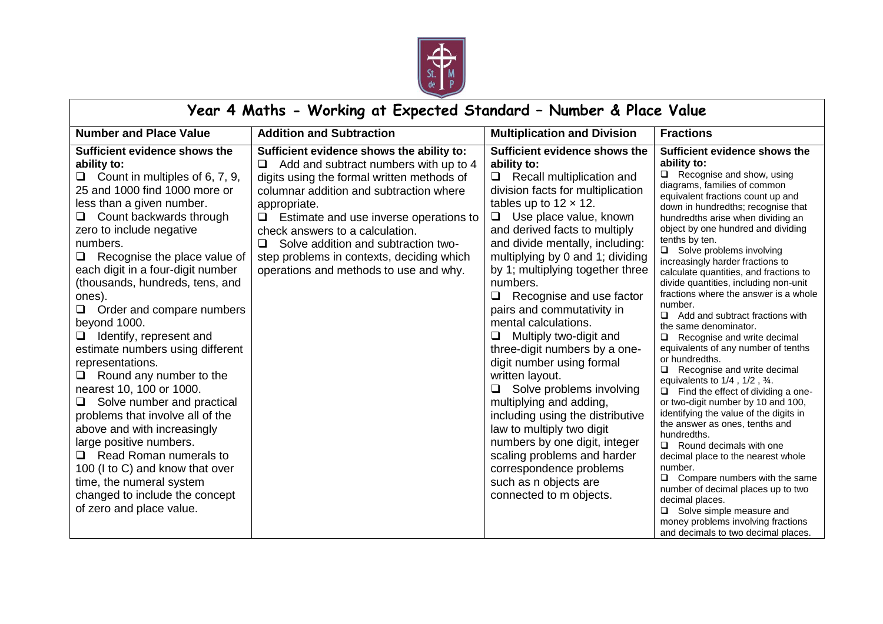

## **Year 4 Maths - Working at Expected Standard – Number & Place Value**

| <b>Number and Place Value</b>                                                                                                                                                                                                                                                                                                                                                                                                                                                                                                                                                                                                                                                                                                                                                                                                                   | <b>Addition and Subtraction</b>                                                                                                                                                                                                                                                                                                                                                                                     | <b>Multiplication and Division</b>                                                                                                                                                                                                                                                                                                                                                                                                                                                                                                                                                                                                                                                                                                                                                                                                      | <b>Fractions</b>                                                                                                                                                                                                                                                                                                                                                                                                                                                                                                                                                                                                                                                                                                                                                                                                                                                                                                                                                                                                                                                                                                                                                                                                             |  |  |
|-------------------------------------------------------------------------------------------------------------------------------------------------------------------------------------------------------------------------------------------------------------------------------------------------------------------------------------------------------------------------------------------------------------------------------------------------------------------------------------------------------------------------------------------------------------------------------------------------------------------------------------------------------------------------------------------------------------------------------------------------------------------------------------------------------------------------------------------------|---------------------------------------------------------------------------------------------------------------------------------------------------------------------------------------------------------------------------------------------------------------------------------------------------------------------------------------------------------------------------------------------------------------------|-----------------------------------------------------------------------------------------------------------------------------------------------------------------------------------------------------------------------------------------------------------------------------------------------------------------------------------------------------------------------------------------------------------------------------------------------------------------------------------------------------------------------------------------------------------------------------------------------------------------------------------------------------------------------------------------------------------------------------------------------------------------------------------------------------------------------------------------|------------------------------------------------------------------------------------------------------------------------------------------------------------------------------------------------------------------------------------------------------------------------------------------------------------------------------------------------------------------------------------------------------------------------------------------------------------------------------------------------------------------------------------------------------------------------------------------------------------------------------------------------------------------------------------------------------------------------------------------------------------------------------------------------------------------------------------------------------------------------------------------------------------------------------------------------------------------------------------------------------------------------------------------------------------------------------------------------------------------------------------------------------------------------------------------------------------------------------|--|--|
| Sufficient evidence shows the<br>ability to:<br>Count in multiples of 6, 7, 9,<br>⊔<br>25 and 1000 find 1000 more or<br>less than a given number.<br>Count backwards through<br>□<br>zero to include negative<br>numbers.<br>Recognise the place value of<br>each digit in a four-digit number<br>(thousands, hundreds, tens, and<br>ones).<br>Order and compare numbers<br>$\Box$<br>beyond 1000.<br>Identify, represent and<br>estimate numbers using different<br>representations.<br>Round any number to the<br>$\Box$<br>nearest 10, 100 or 1000.<br>Solve number and practical<br>problems that involve all of the<br>above and with increasingly<br>large positive numbers.<br>Read Roman numerals to<br>u.<br>100 (I to C) and know that over<br>time, the numeral system<br>changed to include the concept<br>of zero and place value. | Sufficient evidence shows the ability to:<br>Add and subtract numbers with up to 4<br>Q.<br>digits using the formal written methods of<br>columnar addition and subtraction where<br>appropriate.<br>$\Box$ Estimate and use inverse operations to<br>check answers to a calculation.<br>Solve addition and subtraction two-<br>step problems in contexts, deciding which<br>operations and methods to use and why. | Sufficient evidence shows the<br>ability to:<br>$\Box$ Recall multiplication and<br>division facts for multiplication<br>tables up to $12 \times 12$ .<br>$\Box$ Use place value, known<br>and derived facts to multiply<br>and divide mentally, including:<br>multiplying by 0 and 1; dividing<br>by 1; multiplying together three<br>numbers.<br>Recognise and use factor<br>0<br>pairs and commutativity in<br>mental calculations.<br>Multiply two-digit and<br>□<br>three-digit numbers by a one-<br>digit number using formal<br>written layout.<br>Solve problems involving<br>$\Box$<br>multiplying and adding,<br>including using the distributive<br>law to multiply two digit<br>numbers by one digit, integer<br>scaling problems and harder<br>correspondence problems<br>such as n objects are<br>connected to m objects. | Sufficient evidence shows the<br>ability to:<br>$\Box$ Recognise and show, using<br>diagrams, families of common<br>equivalent fractions count up and<br>down in hundredths; recognise that<br>hundredths arise when dividing an<br>object by one hundred and dividing<br>tenths by ten.<br>$\Box$ Solve problems involving<br>increasingly harder fractions to<br>calculate quantities, and fractions to<br>divide quantities, including non-unit<br>fractions where the answer is a whole<br>number.<br>$\Box$<br>Add and subtract fractions with<br>the same denominator.<br>Recognise and write decimal<br>$\Box$<br>equivalents of any number of tenths<br>or hundredths.<br>Recognise and write decimal<br>equivalents to $1/4$ , $1/2$ , $\frac{3}{4}$ .<br>Find the effect of dividing a one-<br>or two-digit number by 10 and 100,<br>identifying the value of the digits in<br>the answer as ones, tenths and<br>hundredths.<br>$\Box$ Round decimals with one<br>decimal place to the nearest whole<br>number.<br>Compare numbers with the same<br>number of decimal places up to two<br>decimal places.<br>Solve simple measure and<br>money problems involving fractions<br>and decimals to two decimal places. |  |  |